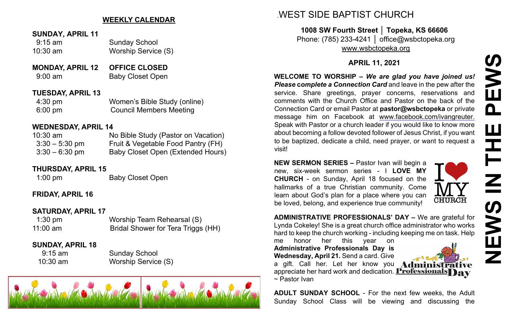# **WEEKLY CALENDAR**

- **SUNDAY, APRIL 11**
- 9:15 am Sunday School
- 10:30 am Worship Service (S)
- **MONDAY, APRIL 12 OFFICE CLOSED** 9:00 am Baby Closet Open

## **TUESDAY, APRIL 13**

4:30 pm Women's Bible Study (online) 6:00 pm Council Members Meeting

#### **WEDNESDAY, APRIL 14**

| 10:30 am         | No Bible Study (Pastor on Vacation)      |
|------------------|------------------------------------------|
| $3:30-5:30$ pm   | Fruit & Vegetable Food Pantry (FH)       |
| $3:30 - 6:30$ pm | <b>Baby Closet Open (Extended Hours)</b> |

## **THURSDAY, APRIL 15**

1:00 pm Baby Closet Open

# **FRIDAY, APRIL 16**

## **SATURDAY, APRIL 17**

1:30 pm Worship Team Rehearsal (S) 11:00 am Bridal Shower for Tera Triggs (HH)

## **SUNDAY, APRIL 18**

9:15 am Sunday School 10:30 am Worship Service (S)



# .WEST SIDE BAPTIST CHURCH

**1008 SW Fourth Street │ Topeka, KS 66606** Phone: (785) 233-4241 │ office@wsbctopeka.org [www.wsbctopeka.org](http://www.wsbctopeka.org/)

# **APRIL 11, 2021**

**WELCOME TO WORSHIP –** *We are glad you have joined us! Please complete a Connection Card* and leave in the pew after the service. Share greetings, prayer concerns, reservations and comments with the Church Office and Pastor on the back of the Connection Card or email Pastor at **pastor@wsbctopeka** or private message him on Facebook at [www.facebook.com/ivangreuter.](https://www.facebook.com/ivangreuter.) Speak with Pastor or a church leader if you would like to know more about becoming a follow devoted follower of Jesus Christ, if you want to be baptized, dedicate a child, need prayer, or want to request a visit!

**NEW SERMON SERIES –** Pastor Ivan will begin a new, six-week sermon series - I **LOVE MY CHURCH** - on Sunday, April 18 focused on the hallmarks of a true Christian community. Come learn about God's plan for a place where you can be loved, belong, and experience true community!



**ADMINISTRATIVE PROFESSIONALS' DAY –** We are grateful for Lynda Cokeley! She is a great church office administrator who works hard to keep the church working - including keeping me on task. Help

me honor her this year on **Administrative Professionals Day is Wednesday, April 21.** Send a card. Give a gift. Call her. Let her know you Adu appreciate her hard work and dedication. **Professionals** 

~ Pastor Ivan

**ADULT SUNDAY SCHOOL** - For the next few weeks, the Adult Sunday School Class will be viewing and discussing the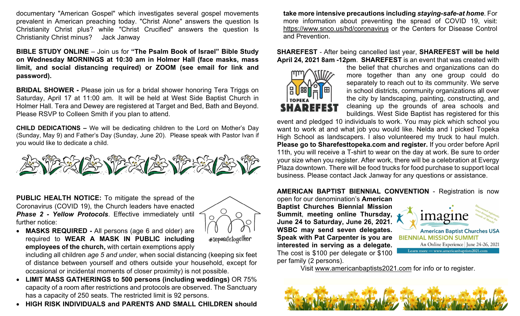documentary "American Gospel" which investigates several gospel movements prevalent in American preaching today. "Christ Alone" answers the question Is Christianity Christ plus? while "Christ Crucified" answers the question Is Christianity Christ minus? Jack Janway

**BIBLE STUDY ONLINE** – Join us for **"The Psalm Book of Israel" Bible Study on Wednesday MORNINGS at 10:30 am in Holmer Hall (face masks, mass limit, and social distancing required) or ZOOM (see email for link and password).** 

**BRIDAL SHOWER -** Please join us for a bridal shower honoring Tera Triggs on Saturday, April 17 at 11:00 am. It will be held at West Side Baptist Church in Holmer Hall. Tera and Dewey are registered at Target and Bed, Bath and Beyond. Please RSVP to Colleen Smith if you plan to attend.

**CHILD DEDICATIONS –** We will be dedicating children to the Lord on Mother's Day (Sunday, May 9) and Father's Day (Sunday, June 20). Please speak with Pastor Ivan if you would like to dedicate a child.



**PUBLIC HEALTH NOTICE:** To mitigate the spread of the Coronavirus (COVID 19), the Church leaders have enacted *Phase 2 - Yellow Protocols*. Effective immediately until further notice:



• **MASKS REQUIRED -** All persons (age 6 and older) are required to **WEAR A MASK IN PUBLIC including employees of the church,** with certain exemptions apply

#separatetogether

including all children *age 5 and under*, when social distancing (keeping six feet of distance between yourself and others outside your household, except for occasional or incidental moments of closer proximity) is not possible.

- **LIMIT MASS GATHERINGS to 500 persons (including weddings)** OR 75% capacity of a room after restrictions and protocols are observed. The Sanctuary has a capacity of 250 seats. The restricted limit is 92 persons.
- **HIGH RISK INDIVIDUALS and PARENTS AND SMALL CHILDREN should**

**take more intensive precautions including** *staying-safe-at home*. For more information about preventing the spread of COVID 19, visit: <https://www.snco.us/hd/coronavirus> or the Centers for Disease Control and Prevention.

#### **SHAREFEST** - After being cancelled last year, **SHAREFEST will be held April 24, 2021 8am -12pm**. **SHAREFEST** is an event that was created with



the belief that churches and organizations can do more together than any one group could do separately to reach out to its community. We serve in school districts, community organizations all over the city by landscaping, painting, constructing, and cleaning up the grounds of area schools and buildings. West Side Baptist has registered for this

event and pledged 10 individuals to work. You may pick which school you want to work at and what job you would like. Nelda and I picked Topeka High School as landscapers. I also volunteered my truck to haul mulch. **Please go to Sharefesttopeka.com and register.** If you order before April 11th, you will receive a T-shirt to wear on the day at work. Be sure to order your size when you register. After work, there will be a celebration at Evergy Plaza downtown. There will be food trucks for food purchase to support local business. Please contact Jack Janway for any questions or assistance.

#### **AMERICAN BAPTIST BIENNIAL CONVENTION** - Registration is now

open for our denomination's **American Baptist Churches Biennial Mission Summit**, **meeting online Thursday, June 24 to Saturday, June 26, 2021. WSBC may send seven delegates. Speak with Pat Carpenter is you are interested in serving as a delegate.**  The cost is \$100 per delegate or \$100 per family (2 persons).



**American Baptist Churches USA BIENNIAL MISSION SUMMIT** An Online Experience June 24-26, 2021 Learn more - www.americanbaptists2021.com

Visit [www.americanbaptists2021.com](http://www.americanbaptists2021.com/) for info or to register.